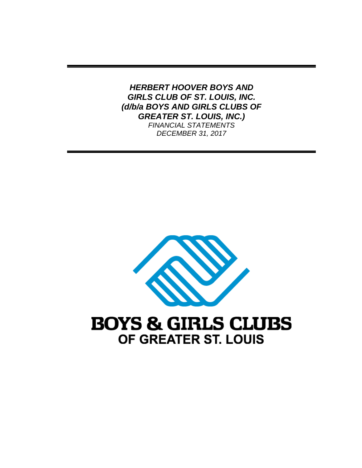*HERBERT HOOVER BOYS AND GIRLS CLUB OF ST. LOUIS, INC. (d/b/a BOYS AND GIRLS CLUBS OF GREATER ST. LOUIS, INC.) FINANCIAL STATEMENTS DECEMBER 31, 2017* 



# OF GREATER ST. LOUIS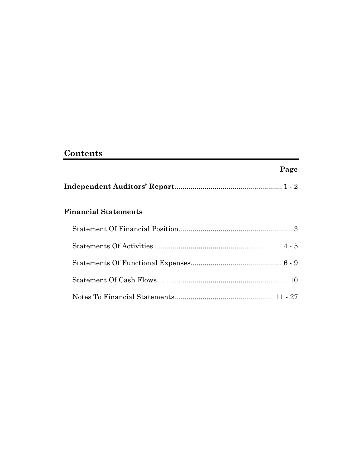# **Contents**

# **Page**

|--|--|

# **Financial Statements**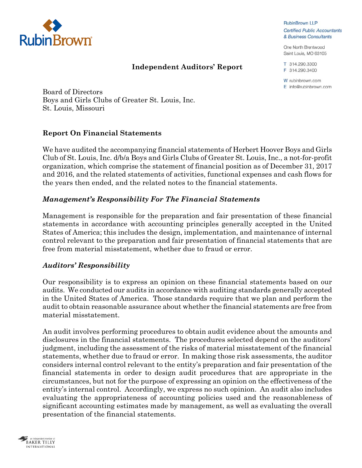

#### **Independent Auditors' Report**

**RubinBrown LLP Certified Public Accountants** & Business Consultants

One North Brentwood Saint Louis, MO 63105

T 314.290.3300 F 314.290.3400

W rubinbrown.com E info@rubinbrown.com

Board of Directors Boys and Girls Clubs of Greater St. Louis, Inc. St. Louis, Missouri

#### **Report On Financial Statements**

We have audited the accompanying financial statements of Herbert Hoover Boys and Girls Club of St. Louis, Inc. d/b/a Boys and Girls Clubs of Greater St. Louis, Inc., a not-for-profit organization, which comprise the statement of financial position as of December 31, 2017 and 2016, and the related statements of activities, functional expenses and cash flows for the years then ended, and the related notes to the financial statements.

#### *Management's Responsibility For The Financial Statements*

Management is responsible for the preparation and fair presentation of these financial statements in accordance with accounting principles generally accepted in the United States of America; this includes the design, implementation, and maintenance of internal control relevant to the preparation and fair presentation of financial statements that are free from material misstatement, whether due to fraud or error.

#### *Auditors' Responsibility*

Our responsibility is to express an opinion on these financial statements based on our audits. We conducted our audits in accordance with auditing standards generally accepted in the United States of America. Those standards require that we plan and perform the audit to obtain reasonable assurance about whether the financial statements are free from material misstatement.

An audit involves performing procedures to obtain audit evidence about the amounts and disclosures in the financial statements. The procedures selected depend on the auditors' judgment, including the assessment of the risks of material misstatement of the financial statements, whether due to fraud or error. In making those risk assessments, the auditor considers internal control relevant to the entity's preparation and fair presentation of the financial statements in order to design audit procedures that are appropriate in the circumstances, but not for the purpose of expressing an opinion on the effectiveness of the entity's internal control. Accordingly, we express no such opinion. An audit also includes evaluating the appropriateness of accounting policies used and the reasonableness of significant accounting estimates made by management, as well as evaluating the overall presentation of the financial statements.

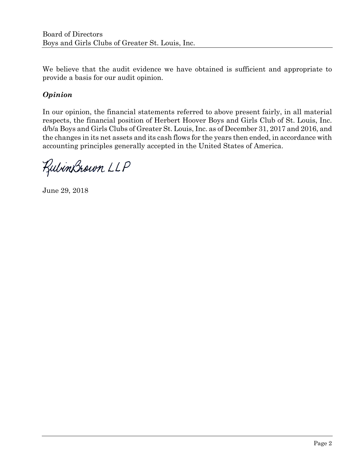We believe that the audit evidence we have obtained is sufficient and appropriate to provide a basis for our audit opinion.

# *Opinion*

In our opinion, the financial statements referred to above present fairly, in all material respects, the financial position of Herbert Hoover Boys and Girls Club of St. Louis, Inc. d/b/a Boys and Girls Clubs of Greater St. Louis, Inc. as of December 31, 2017 and 2016, and the changes in its net assets and its cash flows for the years then ended, in accordance with accounting principles generally accepted in the United States of America.

RubinBrown LLP

June 29, 2018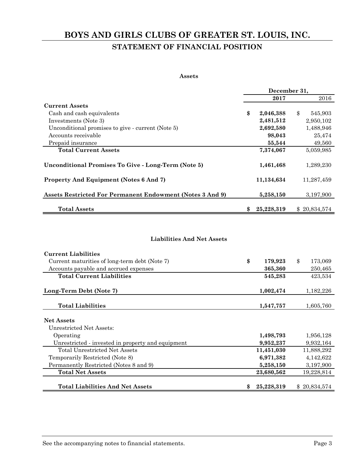# **BOYS AND GIRLS CLUBS OF GREATER ST. LOUIS, INC. STATEMENT OF FINANCIAL POSITION**

#### **Assets**

|                                                                  | December 31.     |                          |
|------------------------------------------------------------------|------------------|--------------------------|
|                                                                  | 2017             | 2016                     |
| <b>Current Assets</b>                                            |                  |                          |
| Cash and cash equivalents                                        | \$<br>2,046,388  | $\mathbf{\$}$<br>545,903 |
| Investments (Note 3)                                             | 2,481,512        | 2,950,102                |
| Unconditional promises to give - current (Note 5)                | 2,692,580        | 1,488,946                |
| Accounts receivable                                              | 98,043           | 25,474                   |
| Prepaid insurance                                                | 55,544           | 49,560                   |
| <b>Total Current Assets</b>                                      | 7,374,067        | 5,059,985                |
| Unconditional Promises To Give - Long-Term (Note 5)              | 1,461,468        | 1,289,230                |
| <b>Property And Equipment (Notes 6 And 7)</b>                    | 11,134,634       | 11,287,459               |
| <b>Assets Restricted For Permanent Endowment (Notes 3 And 9)</b> | 5,258,150        | 3,197,900                |
| <b>Total Assets</b>                                              | \$<br>25,228,319 | \$20,834,574             |

#### **Liabilities And Net Assets**

| <b>Current Liabilities</b>                        |                  |               |              |
|---------------------------------------------------|------------------|---------------|--------------|
| Current maturities of long-term debt (Note 7)     | \$<br>179,923    | $\mathbf{\$}$ | 173,069      |
| Accounts payable and accrued expenses             | 365,360          |               | 250,465      |
| <b>Total Current Liabilities</b>                  | 545,283          |               | 423,534      |
| Long-Term Debt (Note 7)                           | 1,002,474        |               | 1,182,226    |
| <b>Total Liabilities</b>                          | 1,547,757        |               | 1,605,760    |
| <b>Net Assets</b>                                 |                  |               |              |
| Unrestricted Net Assets:                          |                  |               |              |
| Operating                                         | 1,498,793        |               | 1,956,128    |
| Unrestricted - invested in property and equipment | 9,952,237        |               | 9,932,164    |
| Total Unrestricted Net Assets                     | 11,451,030       |               | 11,888,292   |
| Temporarily Restricted (Note 8)                   | 6,971,382        |               | 4,142,622    |
| Permanently Restricted (Notes 8 and 9)            | 5,258,150        |               | 3,197,900    |
| <b>Total Net Assets</b>                           | 23,680,562       |               | 19,228,814   |
| <b>Total Liabilities And Net Assets</b>           | \$<br>25,228,319 |               | \$20,834,574 |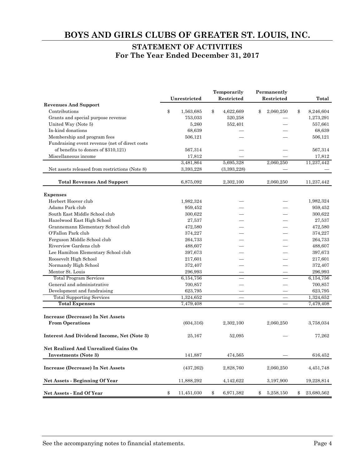#### **STATEMENT OF ACTIVITIES For The Year Ended December 31, 2017**

|                                                | Unrestricted     | Temporarily<br>Restricted | Permanently<br>Restricted | Total            |
|------------------------------------------------|------------------|---------------------------|---------------------------|------------------|
| <b>Revenues And Support</b>                    |                  |                           |                           |                  |
| Contributions                                  | \$<br>1,563,685  | \$<br>4,622,669           | \$<br>2,060,250           | \$<br>8,246,604  |
| Grants and special purpose revenue             | 753,033          | 520,258                   |                           | 1,273,291        |
| United Way (Note 5)                            | 5,260            | 552,401                   |                           | 557,661          |
| In-kind donations                              | 68,639           |                           |                           | 68,639           |
| Membership and program fees                    | 506,121          |                           |                           | 506,121          |
| Fundraising event revenue (net of direct costs |                  |                           |                           |                  |
| of benefits to donors of \$310,121)            | 567,314          |                           |                           | 567,314          |
| Miscellaneous income                           | 17,812           |                           |                           | 17,812           |
|                                                | 3,481,864        | 5,695,328                 | 2,060,250                 | 11,237,442       |
| Net assets released from restrictions (Note 8) | 3,393,228        | (3,393,228)               |                           |                  |
| <b>Total Revenues And Support</b>              | 6,875,092        | 2,302,100                 | 2,060,250                 | 11,237,442       |
| <b>Expenses</b>                                |                  |                           |                           |                  |
| Herbert Hoover club                            | 1,982,324        |                           |                           | 1,982,324        |
| Adams Park club                                | 959,452          |                           |                           | 959,452          |
| South East Middle School club                  | 300,622          |                           |                           | 300,622          |
| Hazelwood East High School                     | 27,537           |                           |                           | 27,537           |
| Grannemann Elementary School club              | 472,580          |                           |                           | 472,580          |
| O'Fallon Park club                             | 374,227          |                           |                           | 374,227          |
| Ferguson Middle School club                    | 264,733          |                           |                           | 264,733          |
| Riverview Gardens club                         | 488,607          |                           |                           | 488,607          |
| Lee Hamilton Elementary School club            | 397,673          |                           |                           | 397,673          |
| Roosevelt High School                          | 217,601          |                           |                           | 217,601          |
| Normandy High School                           | 372,407          |                           |                           | 372,407          |
| Mentor St. Louis                               | 296,993          |                           |                           | 296,993          |
| <b>Total Program Services</b>                  | 6,154,756        |                           |                           | 6,154,756        |
| General and administrative                     | 700,857          |                           |                           | 700,857          |
| Development and fundraising                    | 623,795          |                           |                           | 623,795          |
| <b>Total Supporting Services</b>               | 1,324,652        |                           |                           | 1,324,652        |
| <b>Total Expenses</b>                          | 7,479,408        |                           |                           | 7,479,408        |
| <b>Increase (Decrease) In Net Assets</b>       |                  |                           |                           |                  |
| <b>From Operations</b>                         | (604, 316)       | 2,302,100                 | 2,060,250                 | 3,758,034        |
| Interest And Dividend Income, Net (Note 3)     | 25,167           | 52,095                    |                           | 77,262           |
| Net Realized And Unrealized Gains On           |                  |                           |                           |                  |
| Investments (Note 3)                           | 141,887          | 474,565                   |                           | 616,452          |
| Increase (Decrease) In Net Assets              | (437, 262)       | 2,828,760                 | 2,060,250                 | 4,451,748        |
| Net Assets - Beginning Of Year                 | 11,888,292       | 4,142,622                 | 3,197,900                 | 19,228,814       |
| Net Assets - End Of Year                       | \$<br>11,451,030 | \$<br>6,971,382           | \$<br>5,258,150           | \$<br>23,680,562 |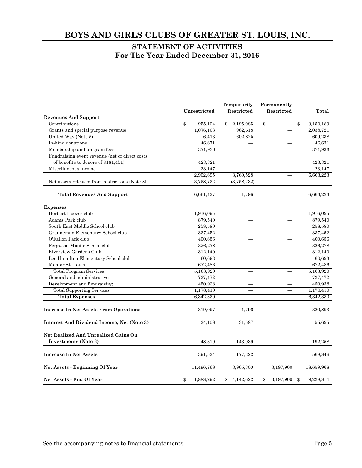#### **STATEMENT OF ACTIVITIES For The Year Ended December 31, 2016**

|                                                | Unrestricted     | Temporarily<br>Restricted | Permanently<br>Restricted | Total            |
|------------------------------------------------|------------------|---------------------------|---------------------------|------------------|
| <b>Revenues And Support</b>                    |                  |                           |                           |                  |
| Contributions                                  | \$<br>955,104    | \$<br>2,195,085           | \$                        | \$<br>3,150,189  |
| Grants and special purpose revenue             | 1,076,103        | 962,618                   |                           | 2,038,721        |
| United Way (Note 5)                            | 6,413            | 602,825                   |                           | 609,238          |
| In-kind donations                              | 46,671           |                           |                           | 46,671           |
| Membership and program fees                    | 371,936          |                           |                           | 371,936          |
| Fundraising event revenue (net of direct costs |                  |                           |                           |                  |
| of benefits to donors of \$181,451)            | 423,321          |                           |                           | 423,321          |
| Miscellaneous income                           | 23,147           |                           |                           | 23,147           |
|                                                | 2,902,695        | 3,760,528                 |                           | 6,663,223        |
| Net assets released from restrictions (Note 8) | 3,758,732        | (3,758,732)               |                           |                  |
| <b>Total Revenues And Support</b>              | 6,661,427        | 1,796                     |                           | 6,663,223        |
| <b>Expenses</b>                                |                  |                           |                           |                  |
| Herbert Hoover club                            | 1,916,095        |                           |                           | 1,916,095        |
| Adams Park club                                | 879,540          |                           |                           | 879,540          |
| South East Middle School club                  | 258,580          |                           |                           | 258,580          |
| Granneman Elementary School club               | 337,452          |                           |                           | 337,452          |
| O'Fallon Park club                             | 400,656          |                           |                           | 400,656          |
| Ferguson Middle School club                    | 326,278          |                           |                           | 326,278          |
| Riverview Gardens Club                         | 312,140          |                           |                           | 312,140          |
| Lee Hamilton Elementary School club            | 60,693           |                           |                           | 60,693           |
| Mentor St. Louis                               | 672,486          |                           |                           | 672,486          |
| <b>Total Program Services</b>                  | 5,163,920        |                           |                           | 5,163,920        |
| General and administrative                     | 727,472          |                           |                           | 727,472          |
| Development and fundraising                    | 450,938          |                           |                           | 450,938          |
| <b>Total Supporting Services</b>               | 1,178,410        |                           |                           | 1,178,410        |
| <b>Total Expenses</b>                          | 6,342,330        |                           |                           | 6,342,330        |
| <b>Increase In Net Assets From Operations</b>  | 319,097          | 1,796                     |                           | 320,893          |
| Interest And Dividend Income, Net (Note 3)     | 24,108           | 31,587                    |                           | 55,695           |
| Net Realized And Unrealized Gains On           |                  |                           |                           |                  |
| Investments (Note 3)                           | 48,319           | 143,939                   |                           | 192,258          |
| <b>Increase In Net Assets</b>                  | 391,524          | 177,322                   |                           | 568,846          |
| Net Assets - Beginning Of Year                 | 11,496,768       | 3,965,300                 | 3,197,900                 | 18,659,968       |
| <b>Net Assets - End Of Year</b>                | \$<br>11,888,292 | \$<br>4,142,622           | \$<br>3,197,900           | \$<br>19,228,814 |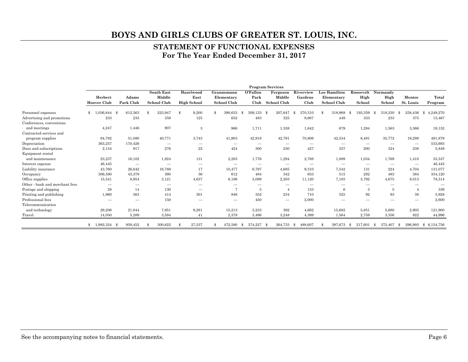#### **STATEMENT OF FUNCTIONAL EXPENSES For The Year Ended December 31, 2017**

|                                |                               |                          |                                            |                                         |                                                |                          | <b>Program Services</b>           |                              |                                           |                             |                                 |                                 |                         |
|--------------------------------|-------------------------------|--------------------------|--------------------------------------------|-----------------------------------------|------------------------------------------------|--------------------------|-----------------------------------|------------------------------|-------------------------------------------|-----------------------------|---------------------------------|---------------------------------|-------------------------|
|                                | Herbert<br><b>Hoover Club</b> | Adams<br>Park Club       | <b>South East</b><br>Middle<br>School Club | Hazelwood<br>East<br><b>High School</b> | Grannemann<br>Elementary<br><b>School Club</b> | O'Fallon<br>Park<br>Club | Ferguson<br>Middle<br>School Club | Riverview<br>Gardens<br>Club | Lee Hamilton<br>Elementary<br>School Club | Roosevelt<br>High<br>School | Normandy<br>High<br>School      | Mentor<br>St. Louis             | Total<br>Program        |
| Personnel expenses             | 1.036.844 \$                  | 612,563                  | 223,947<br>\$                              | 9,200<br>\$                             | $\Re$<br>390,633                               | 309,133<br>-8            | 207.647<br>- \$                   | 70,310<br>-8                 | 318,968<br>\$                             | 193,359<br>-8               | 318,230<br>-\$                  | 258,436<br>-8                   | 4,249,270<br>-8         |
| Advertising and promotions     | 233                           | 233                      | 359                                        | 125                                     | 652                                            | 483                      | 325                               | 9,667                        | 449                                       | 333                         | 233                             | 375                             | 13,467                  |
| Conferences, conventions       |                               |                          |                                            |                                         |                                                |                          |                                   |                              |                                           |                             |                                 |                                 |                         |
| and meetings                   | 4,247                         | 1,446                    | 907                                        | 3                                       | 966                                            | 1,711                    | 1,338                             | 1,642                        | 679                                       | 1,284                       | 1,563                           | 3,366                           | 19,152                  |
| Contracted services and        |                               |                          |                                            |                                         |                                                |                          |                                   |                              |                                           |                             |                                 |                                 |                         |
| program supplies               | 94,782                        | 51,080                   | 40,771                                     | 3,743                                   | 41,903                                         | 42,918                   | 42,791                            | 70,806                       | 42,534                                    | 8,481                       | 35,772                          | 16,298                          | 491,879                 |
| Depreciation                   | 363,257                       | 170,426                  |                                            | $\hspace{0.1mm}-\hspace{0.1mm}$         | $\hspace{0.1mm}-\hspace{0.1mm}$                |                          | $\hspace{0.05cm}$                 | –                            |                                           |                             |                                 |                                 | 533,683                 |
| Dues and subscriptions         | 2,154                         | 917                      | 276                                        | $\bf 22$                                | 424                                            | 300                      | 230                               | 427                          | 337                                       | 200                         | 324                             | 238                             | 5,849                   |
| Equipment rental               |                               |                          |                                            |                                         |                                                |                          |                                   |                              |                                           |                             |                                 |                                 |                         |
| and maintenance                | 23,237                        | 16,102                   | 1,824                                      | 131                                     | 2,283                                          | 1,776                    | 1,294                             | 2,788                        | 1,889                                     | 1,034                       | 1.769                           | 1,410                           | 55,537                  |
| Interest expense               | 46,445                        | $\overline{\phantom{a}}$ |                                            | $\hspace{0.1mm}-\hspace{0.1mm}$         | $\hspace{0.1mm}-\hspace{0.1mm}$                | $\qquad \qquad$          | $\hspace{0.05cm}$                 |                              |                                           |                             | $\hspace{0.1mm}-\hspace{0.1mm}$ | $\hspace{0.1mm}-\hspace{0.1mm}$ | 46,445                  |
| Liability insurance            | 43,760                        | 26,642                   | 16,788                                     | 17                                      | 10,477                                         | 6,797                    | 4,685                             | 9,310                        | 7,542                                     | 131                         | 224                             | 4,704                           | 131,077                 |
| Occupancy                      | 306,580                       | 43.379                   | 390                                        | 36                                      | 612                                            | 484                      | 342                               | 633                          | 515                                       | 282                         | 483                             | 384                             | 354,120                 |
| Office supplies                | 15,541                        | 8,954                    | 3,121                                      | 4,637                                   | 6,186                                          | 3,089                    | 2,203                             | 11,120                       | 7,183                                     | 3,792                       | 4.675                           | 8,013                           | 78,514                  |
| Other - bank and merchant fees | -                             | $\overline{\phantom{a}}$ |                                            |                                         |                                                |                          |                                   | -                            | -                                         |                             |                                 |                                 |                         |
| Postage and shipping           | 28                            | 14                       | 130                                        | $\overline{\phantom{m}}$                | 7                                              | 5                        |                                   | 133                          | 6                                         | 3                           | 5                               | $\overline{A}$                  | 339                     |
| Printing and publishing        | 1,960                         | 563                      | 414                                        | 301                                     | 846                                            | 352                      | 234                               | 710                          | 325                                       | 92                          | 93                              | 38                              | 5,928                   |
| Professional fees              | -                             | $\overline{\phantom{a}}$ | 150                                        |                                         |                                                | 450                      | $\hspace{0.1mm}-\hspace{0.1mm}$   | 2,000                        | -                                         |                             | -                               | $\overline{\phantom{a}}$        | 2,600                   |
| Telecommunication              |                               |                          |                                            |                                         |                                                |                          |                                   |                              |                                           |                             |                                 |                                 |                         |
| and technology                 | 29,206                        | 21,844                   | 7,951                                      | 9,281                                   | 15,213                                         | 3,233                    | 392                               | 4,662                        | 15,682                                    | 5,851                       | 5,680                           | 2,905                           | 121,900                 |
| Travel                         | 14,050                        | 5,289                    | 3,594                                      | 41                                      | 2,378                                          | 3,496                    | 3,248                             | 4,399                        | 1,564                                     | 2,759                       | 3,356                           | 822                             | 44,996                  |
|                                | 1,982,324 \$                  | 959,452                  | 300,622<br>\$                              | 27,537                                  | 472,580                                        | 374,227<br>-8            | 264,733<br>- \$                   | 488,607<br>-8                | 397,673<br>\$                             | 217,601<br>-8               | 372,407<br>-8                   | 296,993<br>-8                   | $^{\circ}$<br>6,154,756 |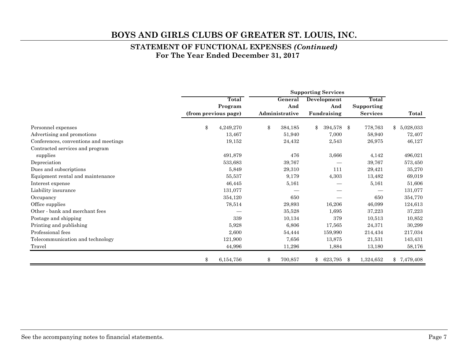#### **STATEMENT OF FUNCTIONAL EXPENSES** *(Continued)*  **For The Year Ended December 31, 2017**

|                                       | <b>Supporting Services</b> |           |    |                |    |             |     |                 |                 |
|---------------------------------------|----------------------------|-----------|----|----------------|----|-------------|-----|-----------------|-----------------|
|                                       |                            | Total     |    | General        |    | Development |     | Total           |                 |
|                                       |                            | Program   |    | And            |    | And         |     | Supporting      |                 |
|                                       | (from previous page)       |           |    | Administrative |    | Fundraising |     | <b>Services</b> | Total           |
| Personnel expenses                    | \$                         | 4,249,270 | \$ | 384,185        | \$ | 394,578     | -\$ | 778,763         | 5,028,033<br>\$ |
| Advertising and promotions            |                            | 13,467    |    | 51,940         |    | 7,000       |     | 58,940          | 72,407          |
| Conferences, conventions and meetings |                            | 19,152    |    | 24,432         |    | 2,543       |     | 26,975          | 46,127          |
| Contracted services and program       |                            |           |    |                |    |             |     |                 |                 |
| supplies                              |                            | 491,879   |    | 476            |    | 3,666       |     | 4,142           | 496,021         |
| Depreciation                          |                            | 533,683   |    | 39,767         |    |             |     | 39,767          | 573,450         |
| Dues and subscriptions                |                            | 5,849     |    | 29,310         |    | 111         |     | 29,421          | 35,270          |
| Equipment rental and maintenance      |                            | 55,537    |    | 9,179          |    | 4,303       |     | 13,482          | 69,019          |
| Interest expense                      |                            | 46,445    |    | 5,161          |    |             |     | 5,161           | 51,606          |
| Liability insurance                   |                            | 131,077   |    |                |    |             |     |                 | 131,077         |
| Occupancy                             |                            | 354,120   |    | 650            |    |             |     | 650             | 354,770         |
| Office supplies                       |                            | 78,514    |    | 29,893         |    | 16,206      |     | 46,099          | 124,613         |
| Other - bank and merchant fees        |                            |           |    | 35,528         |    | 1,695       |     | 37,223          | 37,223          |
| Postage and shipping                  |                            | 339       |    | 10,134         |    | 379         |     | 10,513          | 10,852          |
| Printing and publishing               |                            | 5,928     |    | 6,806          |    | 17,565      |     | 24,371          | 30,299          |
| Professional fees                     |                            | 2,600     |    | 54,444         |    | 159,990     |     | 214,434         | 217,034         |
| Telecommunication and technology      |                            | 121,900   |    | 7,656          |    | 13,875      |     | 21,531          | 143,431         |
| Travel                                |                            | 44,996    |    | 11,296         |    | 1,884       |     | 13,180          | 58,176          |
|                                       | \$                         | 6,154,756 | \$ | 700,857        | \$ | 623,795     | \$  | 1,324,652       | \$7,479,408     |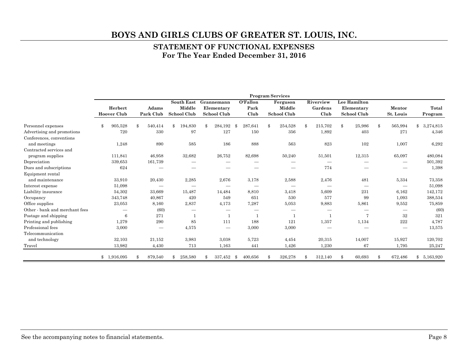#### **STATEMENT OF FUNCTIONAL EXPENSES For The Year Ended December 31, 2016**

|                                |                    |               |                   |    |                               |    |          |    | <b>Program Services</b> |    |           |     |                    |     |           |              |           |  |
|--------------------------------|--------------------|---------------|-------------------|----|-------------------------------|----|----------|----|-------------------------|----|-----------|-----|--------------------|-----|-----------|--------------|-----------|--|
|                                |                    |               | <b>South East</b> |    | Grannemann                    |    | O'Fallon |    | Ferguson                |    | Riverview |     | Lee Hamilton       |     |           |              |           |  |
|                                | Herbert            | Adams         | Middle            |    | Elementary                    |    | Park     |    | Middle                  |    | Gardens   |     | Elementary         |     | Mentor    |              | Total     |  |
|                                | <b>Hoover Club</b> | Park Club     | School Club       |    | School Club                   |    | Club     |    | <b>School Club</b>      |    | Club      |     | <b>School Club</b> |     | St. Louis |              | Program   |  |
| Personnel expenses             | 905,528            | \$<br>540,414 | \$<br>194,830     | \$ | 284,192                       | -8 | 287,641  | \$ | 254,528                 | \$ | 215,702   | \$  | 25,986             | \$  | 565,994   | $\mathbb{S}$ | 3,274,815 |  |
| Advertising and promotions     | 720                | 330           | 97                |    | 127                           |    | 150      |    | 356                     |    | 1,892     |     | 403                |     | 271       |              | 4,346     |  |
| Conferences, conventions       |                    |               |                   |    |                               |    |          |    |                         |    |           |     |                    |     |           |              |           |  |
| and meetings                   | 1,248              | 890           | 585               |    | 186                           |    | 888      |    | 563                     |    | 823       |     | 102                |     | 1,007     |              | 6,292     |  |
| Contracted services and        |                    |               |                   |    |                               |    |          |    |                         |    |           |     |                    |     |           |              |           |  |
| program supplies               | 111,841            | 46,958        | 32,682            |    | 26,752                        |    | 82,698   |    | 50,240                  |    | 51,501    |     | 12,315             |     | 65,097    |              | 480,084   |  |
| Depreciation                   | 339,653            | 161,739       |                   |    |                               |    |          |    |                         |    |           |     |                    |     |           |              | 501,392   |  |
| Dues and subscriptions         | 624                |               |                   |    |                               |    |          |    |                         |    | 774       |     |                    |     |           |              | 1,398     |  |
| Equipment rental               |                    |               |                   |    |                               |    |          |    |                         |    |           |     |                    |     |           |              |           |  |
| and maintenance                | 33,910             | 20,430        | 2,285             |    | 2,676                         |    | 3,178    |    | 2,588                   |    | 2,476     |     | 481                |     | 5,334     |              | 73,358    |  |
| Interest expense               | 51,098             |               |                   |    |                               |    |          |    |                         |    |           |     |                    |     |           |              | 51,098    |  |
| Liability insurance            | 54,302             | 33,669        | 15,487            |    | 14,484                        |    | 8,810    |    | 3,418                   |    | 5,609     |     | 231                |     | 6,162     |              | 142,172   |  |
| Occupancy                      | 343,748            | 40,867        | 420               |    | 549                           |    | 651      |    | 530                     |    | 577       |     | 99                 |     | 1,093     |              | 388,534   |  |
| Office supplies                | 23,053             | 8,160         | 2,837             |    | 4,173                         |    | 7,287    |    | 5,053                   |    | 9,883     |     | 5,861              |     | 9,552     |              | 75,859    |  |
| Other - bank and merchant fees |                    | (60)          |                   |    |                               |    |          |    |                         |    |           |     |                    |     |           |              | (60)      |  |
| Postage and shipping           | 6                  | 271           | 1                 |    | $\mathbf{1}$                  |    |          |    |                         |    |           |     | 7                  |     | 32        |              | 321       |  |
| Printing and publishing        | 1,279              | 290           | 85                |    | 111                           |    | 188      |    | 121                     |    | 1,357     |     | 1,134              |     | $222\,$   |              | 4,787     |  |
| Professional fees              | 3,000              |               | 4,575             |    | $\overbrace{\phantom{12332}}$ |    | 3,000    |    | 3,000                   |    |           |     |                    |     |           |              | 13,575    |  |
| Telecommunication              |                    |               |                   |    |                               |    |          |    |                         |    |           |     |                    |     |           |              |           |  |
| and technology                 | 32,103             | 21,152        | 3,983             |    | 3,038                         |    | 5,723    |    | 4,454                   |    | 20,315    |     | 14,007             |     | 15,927    |              | 120,702   |  |
| Travel                         | 13,982             | 4,430         | 713               |    | 1,163                         |    | 441      |    | 1,426                   |    | 1,230     |     | 67                 |     | 1,795     |              | 25,247    |  |
|                                | \$1,916,095        | 879,540       | 258,580           | Ж, | 337,452                       | \$ | 400,656  | ዳ  | 326,278                 | -8 | 312,140   | Я\$ | 60,693             | -\$ | 672,486   | $^{\circ}$   | 5,163,920 |  |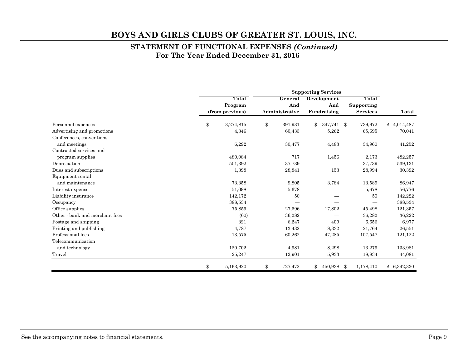#### **STATEMENT OF FUNCTIONAL EXPENSES** *(Continued)*  **For The Year Ended December 31, 2016**

|                                | <b>Supporting Services</b> |    |                |                    |                 |                         |  |
|--------------------------------|----------------------------|----|----------------|--------------------|-----------------|-------------------------|--|
|                                | Total                      |    | General        | <b>Development</b> | Total           |                         |  |
|                                | Program                    |    | And            | And                | Supporting      |                         |  |
|                                | (from previous)            |    | Administrative | Fundraising        | <b>Services</b> | Total                   |  |
| Personnel expenses             | \$<br>3,274,815            | \$ | 391,931        | 347,741 \$<br>\$   | 739,672         | $^{\circ}$<br>4,014,487 |  |
| Advertising and promotions     | 4,346                      |    | 60,433         | 5,262              | 65,695          | 70,041                  |  |
| Conferences, conventions       |                            |    |                |                    |                 |                         |  |
| and meetings                   | 6,292                      |    | 30,477         | 4,483              | 34,960          | 41,252                  |  |
| Contracted services and        |                            |    |                |                    |                 |                         |  |
| program supplies               | 480,084                    |    | 717            | 1,456              | 2,173           | 482,257                 |  |
| Depreciation                   | 501,392                    |    | 37,739         |                    | 37,739          | 539,131                 |  |
| Dues and subscriptions         | 1,398                      |    | 28,841         | 153                | 28,994          | 30,392                  |  |
| Equipment rental               |                            |    |                |                    |                 |                         |  |
| and maintenance                | 73,358                     |    | 9,805          | 3,784              | 13,589          | 86,947                  |  |
| Interest expense               | 51,098                     |    | 5,678          |                    | 5,678           | 56,776                  |  |
| Liability insurance            | 142,172                    |    | 50             |                    | 50              | 142,222                 |  |
| Occupancy                      | 388,534                    |    |                |                    |                 | 388,534                 |  |
| Office supplies                | 75,859                     |    | 27,696         | 17,802             | 45,498          | 121,357                 |  |
| Other - bank and merchant fees | (60)                       |    | 36,282         |                    | 36,282          | 36,222                  |  |
| Postage and shipping           | 321                        |    | 6,247          | 409                | 6,656           | 6,977                   |  |
| Printing and publishing        | 4,787                      |    | 13,432         | 8,332              | 21,764          | 26,551                  |  |
| Professional fees              | 13,575                     |    | 60,262         | 47,285             | 107,547         | 121,122                 |  |
| Telecommunication              |                            |    |                |                    |                 |                         |  |
| and technology                 | 120,702                    |    | 4,981          | 8,298              | 13,279          | 133,981                 |  |
| Travel                         | 25,247                     |    | 12,901         | 5,933              | 18,834          | 44,081                  |  |
|                                | \$<br>5,163,920            | \$ | 727,472        | 450,938<br>\$      | 1,178,410<br>\$ | \$6,342,330             |  |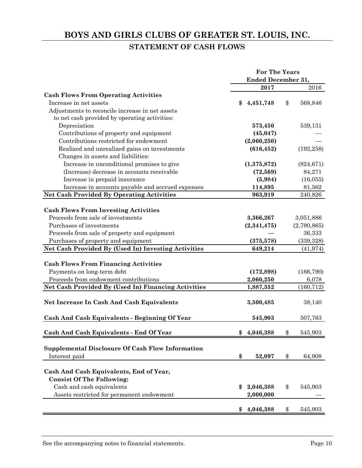# **BOYS AND GIRLS CLUBS OF GREATER ST. LOUIS, INC. STATEMENT OF CASH FLOWS**

|                                                     | <b>For The Years</b> |                           |    |             |  |
|-----------------------------------------------------|----------------------|---------------------------|----|-------------|--|
|                                                     |                      | <b>Ended December 31,</b> |    |             |  |
|                                                     |                      | 2017                      |    | 2016        |  |
| <b>Cash Flows From Operating Activities</b>         |                      |                           |    |             |  |
| Increase in net assets                              | \$                   | 4,451,748                 | \$ | 568,846     |  |
| Adjustments to reconcile increase in net assets     |                      |                           |    |             |  |
| to net cash provided by operating activities:       |                      |                           |    |             |  |
| Depreciation                                        |                      | 573,450                   |    | 539,131     |  |
| Contributions of property and equipment             |                      | (45, 047)                 |    |             |  |
| Contributions restricted for endowment              |                      | (2,060,250)               |    |             |  |
| Realized and unrealized gains on investments        |                      | (616, 452)                |    | (192, 258)  |  |
| Changes in assets and liabilities:                  |                      |                           |    |             |  |
| Increase in unconditional promises to give          |                      | (1,375,872)               |    | (824, 671)  |  |
| (Increase) decrease in accounts receivable          |                      | (72, 569)                 |    | 84,271      |  |
| Increase in prepaid insurance                       |                      | (5,984)                   |    | (16,055)    |  |
| Increase in accounts payable and accrued expenses   |                      | 114,895                   |    | 81,562      |  |
| <b>Net Cash Provided By Operating Activities</b>    |                      | 963,919                   |    | 240,826     |  |
|                                                     |                      |                           |    |             |  |
| <b>Cash Flows From Investing Activities</b>         |                      |                           |    |             |  |
| Proceeds from sale of investments                   |                      | 3,366,267                 |    | 3,051,886   |  |
| Purchases of investments                            |                      | (2,341,475)               |    | (2,790,865) |  |
| Proceeds from sale of property and equipment        |                      |                           |    | 36,333      |  |
| Purchases of property and equipment                 |                      | (375, 578)                |    | (339, 328)  |  |
| Net Cash Provided By (Used In) Investing Activities |                      | 649,214                   |    | (41, 974)   |  |
|                                                     |                      |                           |    |             |  |
| <b>Cash Flows From Financing Activities</b>         |                      |                           |    |             |  |
| Payments on long-term debt                          |                      | (172, 898)                |    | (166, 790)  |  |
| Proceeds from endowment contributions               |                      | 2,060,250                 |    | 6,078       |  |
| Net Cash Provided By (Used In) Financing Activities |                      | 1,887,352                 |    | (160, 712)  |  |
| Net Increase In Cash And Cash Equivalents           |                      | 3,500,485                 |    | 38,140      |  |
|                                                     |                      |                           |    |             |  |
| Cash And Cash Equivalents - Beginning Of Year       |                      | 545,903                   |    | 507,763     |  |
| Cash And Cash Equivalents - End Of Year             | \$                   | 4,046,388                 | \$ | 545,903     |  |
|                                                     |                      |                           |    |             |  |
| Supplemental Disclosure Of Cash Flow Information    |                      |                           |    |             |  |
| Interest paid                                       | \$                   | 52,097                    | \$ | 64,908      |  |
|                                                     |                      |                           |    |             |  |
| Cash And Cash Equivalents, End of Year,             |                      |                           |    |             |  |
| <b>Consist Of The Following:</b>                    |                      |                           |    |             |  |
| Cash and cash equivalents                           | \$                   | 2,046,388                 | \$ | 545,903     |  |
| Assets restricted for permanent endowment           |                      | 2,000,000                 |    |             |  |
|                                                     | \$                   |                           | \$ |             |  |
|                                                     |                      | 4,046,388                 |    | 545,903     |  |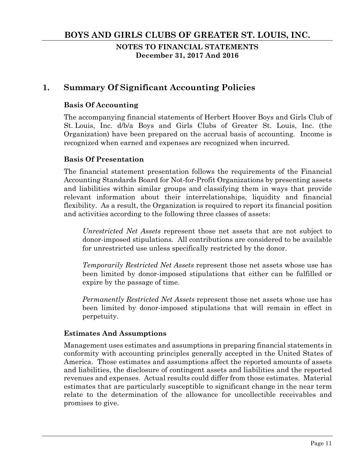**NOTES TO FINANCIAL STATEMENTS December 31, 2017 And 2016** 

# **1. Summary Of Significant Accounting Policies**

#### **Basis Of Accounting**

The accompanying financial statements of Herbert Hoover Boys and Girls Club of St. Louis, Inc. d/b/a Boys and Girls Clubs of Greater St. Louis, Inc. (the Organization) have been prepared on the accrual basis of accounting. Income is recognized when earned and expenses are recognized when incurred.

#### **Basis Of Presentation**

The financial statement presentation follows the requirements of the Financial Accounting Standards Board for Not-for-Profit Organizations by presenting assets and liabilities within similar groups and classifying them in ways that provide relevant information about their interrelationships, liquidity and financial flexibility. As a result, the Organization is required to report its financial position and activities according to the following three classes of assets:

*Unrestricted Net Assets* represent those net assets that are not subject to donor-imposed stipulations. All contributions are considered to be available for unrestricted use unless specifically restricted by the donor.

*Temporarily Restricted Net Assets* represent those net assets whose use has been limited by donor-imposed stipulations that either can be fulfilled or expire by the passage of time.

*Permanently Restricted Net Assets* represent those net assets whose use has been limited by donor-imposed stipulations that will remain in effect in perpetuity.

#### **Estimates And Assumptions**

Management uses estimates and assumptions in preparing financial statements in conformity with accounting principles generally accepted in the United States of America. Those estimates and assumptions affect the reported amounts of assets and liabilities, the disclosure of contingent assets and liabilities and the reported revenues and expenses. Actual results could differ from those estimates. Material estimates that are particularly susceptible to significant change in the near term relate to the determination of the allowance for uncollectible receivables and promises to give.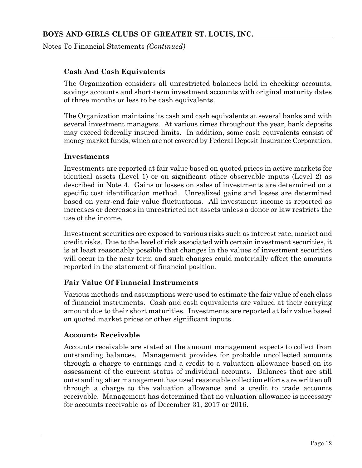Notes To Financial Statements *(Continued)*

#### **Cash And Cash Equivalents**

The Organization considers all unrestricted balances held in checking accounts, savings accounts and short-term investment accounts with original maturity dates of three months or less to be cash equivalents.

The Organization maintains its cash and cash equivalents at several banks and with several investment managers. At various times throughout the year, bank deposits may exceed federally insured limits. In addition, some cash equivalents consist of money market funds, which are not covered by Federal Deposit Insurance Corporation.

#### **Investments**

Investments are reported at fair value based on quoted prices in active markets for identical assets (Level 1) or on significant other observable inputs (Level 2) as described in Note 4. Gains or losses on sales of investments are determined on a specific cost identification method. Unrealized gains and losses are determined based on year-end fair value fluctuations. All investment income is reported as increases or decreases in unrestricted net assets unless a donor or law restricts the use of the income.

Investment securities are exposed to various risks such as interest rate, market and credit risks. Due to the level of risk associated with certain investment securities, it is at least reasonably possible that changes in the values of investment securities will occur in the near term and such changes could materially affect the amounts reported in the statement of financial position.

#### **Fair Value Of Financial Instruments**

Various methods and assumptions were used to estimate the fair value of each class of financial instruments. Cash and cash equivalents are valued at their carrying amount due to their short maturities. Investments are reported at fair value based on quoted market prices or other significant inputs.

#### **Accounts Receivable**

Accounts receivable are stated at the amount management expects to collect from outstanding balances. Management provides for probable uncollected amounts through a charge to earnings and a credit to a valuation allowance based on its assessment of the current status of individual accounts. Balances that are still outstanding after management has used reasonable collection efforts are written off through a charge to the valuation allowance and a credit to trade accounts receivable. Management has determined that no valuation allowance is necessary for accounts receivable as of December 31, 2017 or 2016.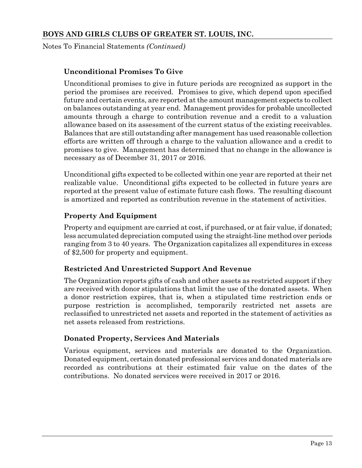Notes To Financial Statements *(Continued)*

#### **Unconditional Promises To Give**

Unconditional promises to give in future periods are recognized as support in the period the promises are received. Promises to give, which depend upon specified future and certain events, are reported at the amount management expects to collect on balances outstanding at year end. Management provides for probable uncollected amounts through a charge to contribution revenue and a credit to a valuation allowance based on its assessment of the current status of the existing receivables. Balances that are still outstanding after management has used reasonable collection efforts are written off through a charge to the valuation allowance and a credit to promises to give. Management has determined that no change in the allowance is necessary as of December 31, 2017 or 2016.

Unconditional gifts expected to be collected within one year are reported at their net realizable value. Unconditional gifts expected to be collected in future years are reported at the present value of estimate future cash flows. The resulting discount is amortized and reported as contribution revenue in the statement of activities.

#### **Property And Equipment**

Property and equipment are carried at cost, if purchased, or at fair value, if donated; less accumulated depreciation computed using the straight-line method over periods ranging from 3 to 40 years. The Organization capitalizes all expenditures in excess of \$2,500 for property and equipment.

#### **Restricted And Unrestricted Support And Revenue**

The Organization reports gifts of cash and other assets as restricted support if they are received with donor stipulations that limit the use of the donated assets. When a donor restriction expires, that is, when a stipulated time restriction ends or purpose restriction is accomplished, temporarily restricted net assets are reclassified to unrestricted net assets and reported in the statement of activities as net assets released from restrictions.

#### **Donated Property, Services And Materials**

Various equipment, services and materials are donated to the Organization. Donated equipment, certain donated professional services and donated materials are recorded as contributions at their estimated fair value on the dates of the contributions. No donated services were received in 2017 or 2016.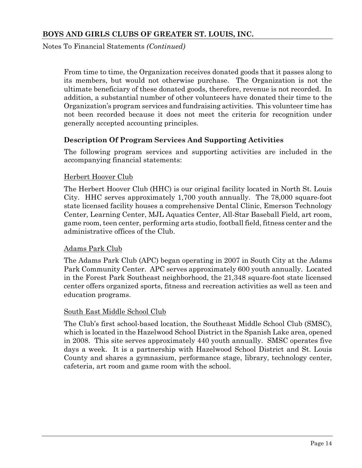Notes To Financial Statements *(Continued)*

From time to time, the Organization receives donated goods that it passes along to its members, but would not otherwise purchase. The Organization is not the ultimate beneficiary of these donated goods, therefore, revenue is not recorded. In addition, a substantial number of other volunteers have donated their time to the Organization's program services and fundraising activities. This volunteer time has not been recorded because it does not meet the criteria for recognition under generally accepted accounting principles.

#### **Description Of Program Services And Supporting Activities**

The following program services and supporting activities are included in the accompanying financial statements:

#### Herbert Hoover Club

The Herbert Hoover Club (HHC) is our original facility located in North St. Louis City. HHC serves approximately 1,700 youth annually. The 78,000 square-foot state licensed facility houses a comprehensive Dental Clinic, Emerson Technology Center, Learning Center, MJL Aquatics Center, All-Star Baseball Field, art room, game room, teen center, performing arts studio, football field, fitness center and the administrative offices of the Club.

#### Adams Park Club

The Adams Park Club (APC) began operating in 2007 in South City at the Adams Park Community Center. APC serves approximately 600 youth annually. Located in the Forest Park Southeast neighborhood, the 21,348 square-foot state licensed center offers organized sports, fitness and recreation activities as well as teen and education programs.

#### South East Middle School Club

The Club's first school-based location, the Southeast Middle School Club (SMSC), which is located in the Hazelwood School District in the Spanish Lake area, opened in 2008. This site serves approximately 440 youth annually. SMSC operates five days a week. It is a partnership with Hazelwood School District and St. Louis County and shares a gymnasium, performance stage, library, technology center, cafeteria, art room and game room with the school.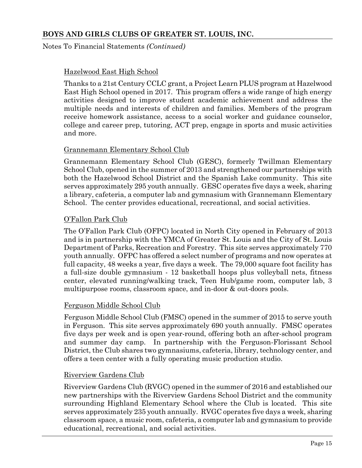Notes To Financial Statements *(Continued)*

#### Hazelwood East High School

Thanks to a 21st Century CCLC grant, a Project Learn PLUS program at Hazelwood East High School opened in 2017. This program offers a wide range of high energy activities designed to improve student academic achievement and address the multiple needs and interests of children and families. Members of the program receive homework assistance, access to a social worker and guidance counselor, college and career prep, tutoring, ACT prep, engage in sports and music activities and more.

#### Grannemann Elementary School Club

Grannemann Elementary School Club (GESC), formerly Twillman Elementary School Club, opened in the summer of 2013 and strengthened our partnerships with both the Hazelwood School District and the Spanish Lake community. This site serves approximately 295 youth annually. GESC operates five days a week, sharing a library, cafeteria, a computer lab and gymnasium with Grannemann Elementary School. The center provides educational, recreational, and social activities.

#### O'Fallon Park Club

The O'Fallon Park Club (OFPC) located in North City opened in February of 2013 and is in partnership with the YMCA of Greater St. Louis and the City of St. Louis Department of Parks, Recreation and Forestry. This site serves approximately 770 youth annually. OFPC has offered a select number of programs and now operates at full capacity, 48 weeks a year, five days a week. The 79,000 square foot facility has a full-size double gymnasium - 12 basketball hoops plus volleyball nets, fitness center, elevated running/walking track, Teen Hub/game room, computer lab, 3 multipurpose rooms, classroom space, and in-door & out-doors pools.

#### Ferguson Middle School Club

Ferguson Middle School Club (FMSC) opened in the summer of 2015 to serve youth in Ferguson. This site serves approximately 690 youth annually. FMSC operates five days per week and is open year-round, offering both an after-school program and summer day camp. In partnership with the Ferguson-Florissant School District, the Club shares two gymnasiums, cafeteria, library, technology center, and offers a teen center with a fully operating music production studio.

#### Riverview Gardens Club

Riverview Gardens Club (RVGC) opened in the summer of 2016 and established our new partnerships with the Riverview Gardens School District and the community surrounding Highland Elementary School where the Club is located. This site serves approximately 235 youth annually. RVGC operates five days a week, sharing classroom space, a music room, cafeteria, a computer lab and gymnasium to provide educational, recreational, and social activities.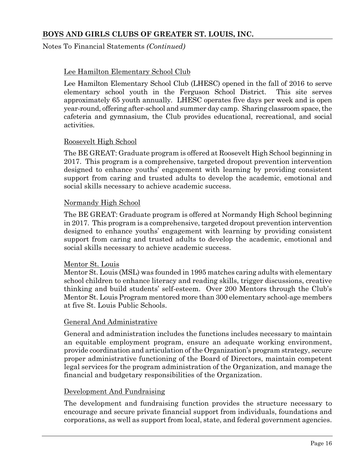#### Notes To Financial Statements *(Continued)*

#### Lee Hamilton Elementary School Club

Lee Hamilton Elementary School Club (LHESC) opened in the fall of 2016 to serve elementary school youth in the Ferguson School District. This site serves approximately 65 youth annually. LHESC operates five days per week and is open year-round, offering after-school and summer day camp. Sharing classroom space, the cafeteria and gymnasium, the Club provides educational, recreational, and social activities.

#### Roosevelt High School

The BE GREAT: Graduate program is offered at Roosevelt High School beginning in 2017. This program is a comprehensive, targeted dropout prevention intervention designed to enhance youths' engagement with learning by providing consistent support from caring and trusted adults to develop the academic, emotional and social skills necessary to achieve academic success.

#### Normandy High School

The BE GREAT: Graduate program is offered at Normandy High School beginning in 2017. This program is a comprehensive, targeted dropout prevention intervention designed to enhance youths' engagement with learning by providing consistent support from caring and trusted adults to develop the academic, emotional and social skills necessary to achieve academic success.

#### Mentor St. Louis

Mentor St. Louis (MSL) was founded in 1995 matches caring adults with elementary school children to enhance literacy and reading skills, trigger discussions, creative thinking and build students' self-esteem. Over 200 Mentors through the Club's Mentor St. Louis Program mentored more than 300 elementary school-age members at five St. Louis Public Schools.

#### General And Administrative

General and administration includes the functions includes necessary to maintain an equitable employment program, ensure an adequate working environment, provide coordination and articulation of the Organization's program strategy, secure proper administrative functioning of the Board of Directors, maintain competent legal services for the program administration of the Organization, and manage the financial and budgetary responsibilities of the Organization.

#### Development And Fundraising

The development and fundraising function provides the structure necessary to encourage and secure private financial support from individuals, foundations and corporations, as well as support from local, state, and federal government agencies.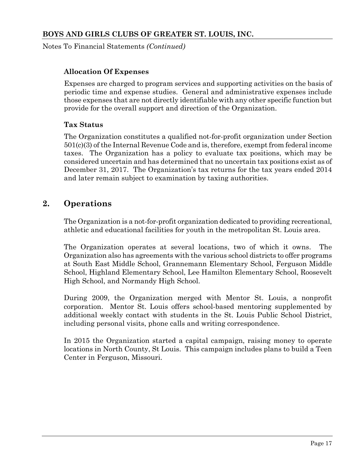Notes To Financial Statements *(Continued)*

#### **Allocation Of Expenses**

Expenses are charged to program services and supporting activities on the basis of periodic time and expense studies. General and administrative expenses include those expenses that are not directly identifiable with any other specific function but provide for the overall support and direction of the Organization.

#### **Tax Status**

The Organization constitutes a qualified not-for-profit organization under Section 501(c)(3) of the Internal Revenue Code and is, therefore, exempt from federal income taxes. The Organization has a policy to evaluate tax positions, which may be considered uncertain and has determined that no uncertain tax positions exist as of December 31, 2017. The Organization's tax returns for the tax years ended 2014 and later remain subject to examination by taxing authorities.

# **2. Operations**

The Organization is a not-for-profit organization dedicated to providing recreational, athletic and educational facilities for youth in the metropolitan St. Louis area.

The Organization operates at several locations, two of which it owns. The Organization also has agreements with the various school districts to offer programs at South East Middle School, Grannemann Elementary School, Ferguson Middle School, Highland Elementary School, Lee Hamilton Elementary School, Roosevelt High School, and Normandy High School.

During 2009, the Organization merged with Mentor St. Louis, a nonprofit corporation. Mentor St. Louis offers school-based mentoring supplemented by additional weekly contact with students in the St. Louis Public School District, including personal visits, phone calls and writing correspondence.

In 2015 the Organization started a capital campaign, raising money to operate locations in North County, St Louis. This campaign includes plans to build a Teen Center in Ferguson, Missouri.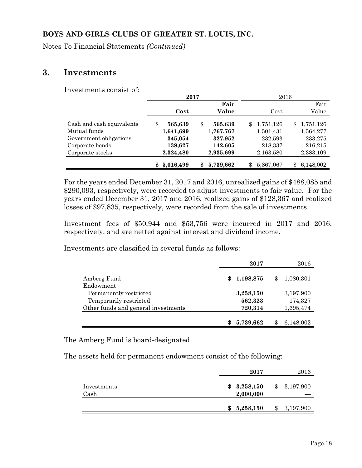Notes To Financial Statements *(Continued)*

#### **3. Investments**

Investments consist of:

|                           | 2017          |                 | 2016             |             |
|---------------------------|---------------|-----------------|------------------|-------------|
|                           |               | Fair            |                  | Fair        |
|                           | Cost          | Value           | Cost             | Value       |
| Cash and cash equivalents | 565,639<br>\$ | \$<br>565,639   | 1,751,126<br>\$. | \$1,751,126 |
| Mutual funds              | 1,641,699     | 1,767,767       | 1,501,431        | 1,564,277   |
| Government obligations    | 345,054       | 327,952         | 232,593          | 233,275     |
| Corporate bonds           | 139,627       | 142,605         | 218,337          | 216,215     |
| Corporate stocks          | 2,324,480     | 2,935,699       | 2,163,580        | 2,383,109   |
|                           | 5,016,499     | 5,739,662<br>\$ | 5,867,067<br>\$  | 6,148,002   |

For the years ended December 31, 2017 and 2016, unrealized gains of \$488,085 and \$290,093, respectively, were recorded to adjust investments to fair value. For the years ended December 31, 2017 and 2016, realized gains of \$128,367 and realized losses of \$97,835, respectively, were recorded from the sale of investments.

Investment fees of \$50,944 and \$53,756 were incurred in 2017 and 2016, respectively, and are netted against interest and dividend income.

Investments are classified in several funds as follows:

|                                     | 2017        | 2016            |
|-------------------------------------|-------------|-----------------|
| Amberg Fund                         | \$1,198,875 | \$<br>1,080,301 |
| Endowment                           |             |                 |
| Permanently restricted              | 3,258,150   | 3,197,900       |
| Temporarily restricted              | 562,323     | 174,327         |
| Other funds and general investments | 720,314     | 1,695,474       |
|                                     |             |                 |
|                                     | 5,739,662   | 6,148,002       |

The Amberg Fund is board-designated.

The assets held for permanent endowment consist of the following:

|                     | 2017                     | 2016            |
|---------------------|--------------------------|-----------------|
| Investments<br>Cash | \$3,258,150<br>2,000,000 | \$<br>3,197,900 |
|                     | \$<br>5,258,150          | \$<br>3,197,900 |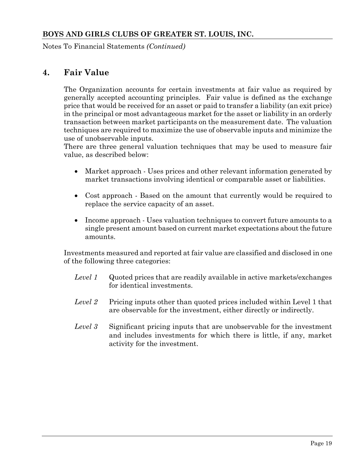Notes To Financial Statements *(Continued)*

## **4. Fair Value**

The Organization accounts for certain investments at fair value as required by generally accepted accounting principles. Fair value is defined as the exchange price that would be received for an asset or paid to transfer a liability (an exit price) in the principal or most advantageous market for the asset or liability in an orderly transaction between market participants on the measurement date. The valuation techniques are required to maximize the use of observable inputs and minimize the use of unobservable inputs.

There are three general valuation techniques that may be used to measure fair value, as described below:

- Market approach Uses prices and other relevant information generated by market transactions involving identical or comparable asset or liabilities.
- Cost approach Based on the amount that currently would be required to replace the service capacity of an asset.
- Income approach Uses valuation techniques to convert future amounts to a single present amount based on current market expectations about the future amounts.

Investments measured and reported at fair value are classified and disclosed in one of the following three categories:

- *Level 1* Quoted prices that are readily available in active markets/exchanges for identical investments.
- *Level 2* Pricing inputs other than quoted prices included within Level 1 that are observable for the investment, either directly or indirectly.
- *Level 3* Significant pricing inputs that are unobservable for the investment and includes investments for which there is little, if any, market activity for the investment.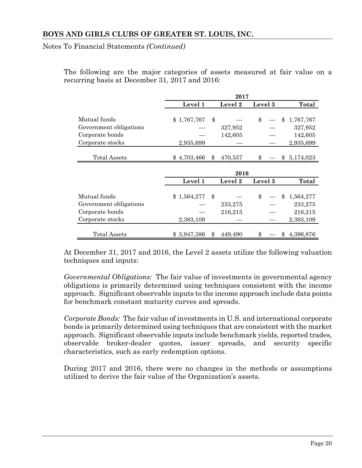Notes To Financial Statements *(Continued)*

The following are the major categories of assets measured at fair value on a recurring basis at December 31, 2017 and 2016:

|                        | 2017               |    |                |         |       |           |  |
|------------------------|--------------------|----|----------------|---------|-------|-----------|--|
|                        | Level 1<br>Level 2 |    | <b>Level</b> 3 |         | Total |           |  |
| Mutual funds           | \$1,767,767        | \$ |                | \$      | \$    | 1,767,767 |  |
|                        |                    |    |                |         |       |           |  |
| Government obligations |                    |    | 327,952        |         |       | 327,952   |  |
| Corporate bonds        |                    |    | 142,605        |         |       | 142,605   |  |
| Corporate stocks       | 2,935,699          |    |                |         |       | 2,935,699 |  |
|                        |                    |    |                |         |       |           |  |
| <b>Total Assets</b>    | \$4,703,466        | \$ | 470,557        | \$      | \$    | 5,174,023 |  |
|                        |                    |    |                |         |       |           |  |
|                        |                    |    | 2016           |         |       |           |  |
|                        | Level 1            |    | Level 2        | Level 3 |       | Total     |  |
|                        |                    |    |                |         |       |           |  |
| Mutual funds           | \$1,564,277        | \$ |                | \$      | \$    | 1,564,277 |  |
| Government obligations |                    |    | 233,275        |         |       | 233,275   |  |
| Corporate bonds        |                    |    | 216,215        |         |       | 216,215   |  |
| Corporate stocks       | 2,383,109          |    |                |         |       | 2,383,109 |  |
|                        |                    |    |                |         |       |           |  |
|                        |                    |    | 449,490        | \$      | \$    | 4,396,876 |  |

At December 31, 2017 and 2016, the Level 2 assets utilize the following valuation techniques and inputs:

*Governmental Obligations:* The fair value of investments in governmental agency obligations is primarily determined using techniques consistent with the income approach. Significant observable inputs to the income approach include data points for benchmark constant maturity curves and spreads.

*Corporate Bonds:* The fair value of investments in U.S. and international corporate bonds is primarily determined using techniques that are consistent with the market approach. Significant observable inputs include benchmark yields, reported trades, observable broker-dealer quotes, issuer spreads, and security specific characteristics, such as early redemption options.

During 2017 and 2016, there were no changes in the methods or assumptions utilized to derive the fair value of the Organization's assets.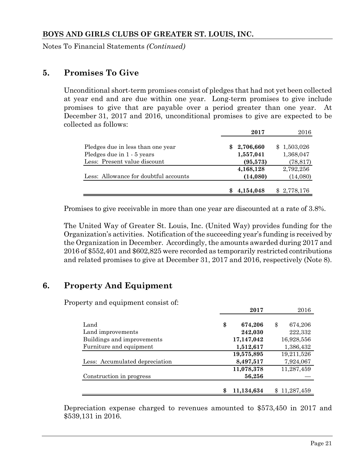Notes To Financial Statements *(Continued)*

#### **5. Promises To Give**

Unconditional short-term promises consist of pledges that had not yet been collected at year end and are due within one year. Long-term promises to give include promises to give that are payable over a period greater than one year. At December 31, 2017 and 2016, unconditional promises to give are expected to be collected as follows:

|                                       | 2017      | 2016        |
|---------------------------------------|-----------|-------------|
| Pledges due in less than one year     | 2,706,660 | \$1,503,026 |
| Pledges due in 1 - 5 years            | 1,557,041 | 1,368,047   |
| Less: Present value discount          | (95, 573) | (78, 817)   |
|                                       | 4,168,128 | 2,792,256   |
| Less: Allowance for doubtful accounts | (14,080)  | (14,080)    |
|                                       |           |             |
|                                       | 4,154,048 | \$2,778,176 |

Promises to give receivable in more than one year are discounted at a rate of 3.8%.

The United Way of Greater St. Louis, Inc. (United Way) provides funding for the Organization's activities. Notification of the succeeding year's funding is received by the Organization in December. Accordingly, the amounts awarded during 2017 and 2016 of \$552,401 and \$602,825 were recorded as temporarily restricted contributions and related promises to give at December 31, 2017 and 2016, respectively (Note 8).

# **6. Property And Equipment**

Property and equipment consist of:

|                                                         | 2017                                   | 2016                                   |
|---------------------------------------------------------|----------------------------------------|----------------------------------------|
| Land<br>Land improvements<br>Buildings and improvements | \$<br>674,206<br>242,030<br>17,147,042 | 674,206<br>\$<br>222,332<br>16,928,556 |
| Furniture and equipment                                 | 1,512,617                              | 1,386,432                              |
| Less: Accumulated depreciation                          | 19,575,895<br>8,497,517                | 19,211,526<br>7,924,067                |
| Construction in progress                                | 11,078,378<br>56,256                   | 11,287,459                             |
|                                                         | \$<br>11,134,634                       | 11,287,459                             |

Depreciation expense charged to revenues amounted to \$573,450 in 2017 and \$539,131 in 2016.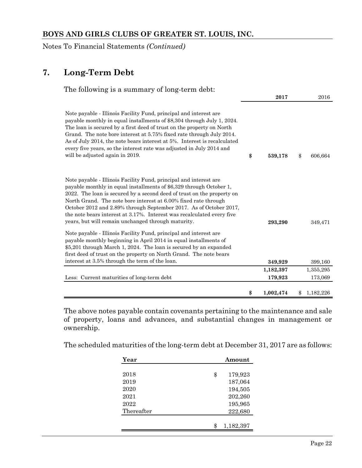Notes To Financial Statements *(Continued)*

# **7. Long-Term Debt**

| The following is a summary of long-term debt:                                                                                                                                                                                                                                                                                                                                                                                                                                               |                 |                 |
|---------------------------------------------------------------------------------------------------------------------------------------------------------------------------------------------------------------------------------------------------------------------------------------------------------------------------------------------------------------------------------------------------------------------------------------------------------------------------------------------|-----------------|-----------------|
|                                                                                                                                                                                                                                                                                                                                                                                                                                                                                             | 2017            | 2016            |
| Note payable - Illinois Facility Fund, principal and interest are<br>payable monthly in equal installments of \$8,304 through July 1, 2024.<br>The loan is secured by a first deed of trust on the property on North<br>Grand. The note bore interest at 5.75% fixed rate through July 2014.<br>As of July 2014, the note bears interest at 5%. Interest is recalculated<br>every five years, so the interest rate was adjusted in July 2014 and<br>will be adjusted again in 2019.         | \$<br>539,178   | \$<br>606,664   |
| Note payable - Illinois Facility Fund, principal and interest are<br>payable monthly in equal installments of \$6,329 through October 1,<br>2022. The loan is secured by a second deed of trust on the property on<br>North Grand. The note bore interest at 6.00% fixed rate through<br>October 2012 and 2.89% through September 2017. As of October 2017,<br>the note bears interest at 3.17%. Interest was recalculated every five<br>years, but will remain unchanged through maturity. | 293,290         | 349,471         |
| Note payable - Illinois Facility Fund, principal and interest are<br>payable monthly beginning in April 2014 in equal installments of<br>\$5,201 through March 1, 2024. The loan is secured by an expanded<br>first deed of trust on the property on North Grand. The note bears                                                                                                                                                                                                            |                 |                 |
| interest at 3.5% through the term of the loan.                                                                                                                                                                                                                                                                                                                                                                                                                                              | 349,929         | 399,160         |
|                                                                                                                                                                                                                                                                                                                                                                                                                                                                                             | 1,182,397       | 1,355,295       |
| Less: Current maturities of long-term debt                                                                                                                                                                                                                                                                                                                                                                                                                                                  | 179,923         | 173,069         |
|                                                                                                                                                                                                                                                                                                                                                                                                                                                                                             | \$<br>1,002,474 | 1,182,226<br>\$ |

The above notes payable contain covenants pertaining to the maintenance and sale of property, loans and advances, and substantial changes in management or ownership.

The scheduled maturities of the long-term debt at December 31, 2017 are as follows:

| Amount          |
|-----------------|
|                 |
| \$<br>179,923   |
| 187,064         |
| 194,505         |
| 202,260         |
| 195,965         |
| 222,680         |
|                 |
| \$<br>1,182,397 |
|                 |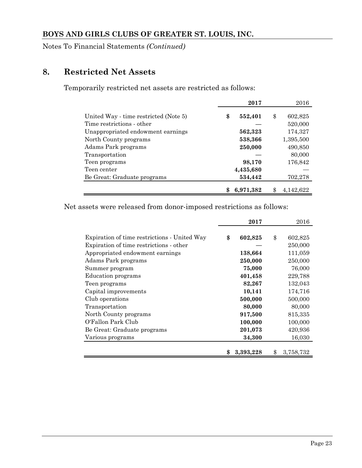Notes To Financial Statements *(Continued)*

# **8. Restricted Net Assets**

Temporarily restricted net assets are restricted as follows:

|                                       | 2017          | 2016            |
|---------------------------------------|---------------|-----------------|
| United Way - time restricted (Note 5) | \$<br>552,401 | \$<br>602,825   |
| Time restrictions - other             |               | 520,000         |
| Unappropriated endowment earnings     | 562,323       | 174,327         |
| North County programs                 | 538,366       | 1,395,500       |
| Adams Park programs                   | 250,000       | 490,850         |
| Transportation                        |               | 80,000          |
| Teen programs                         | 98,170        | 176,842         |
| Teen center                           | 4,435,680     |                 |
| Be Great: Graduate programs           | 534,442       | 702,278         |
|                                       | 6,971,382     | \$<br>4.142.622 |

Net assets were released from donor-imposed restrictions as follows:

|                                              | 2017            | 2016            |
|----------------------------------------------|-----------------|-----------------|
|                                              |                 |                 |
| Expiration of time restrictions - United Way | \$<br>602,825   | \$<br>602,825   |
| Expiration of time restrictions - other      |                 | 250,000         |
| Appropriated endowment earnings              | 138,664         | 111,059         |
| Adams Park programs                          | 250,000         | 250,000         |
| Summer program                               | 75,000          | 76,000          |
| Education programs                           | 401,458         | 229,788         |
| Teen programs                                | 82,267          | 132,043         |
| Capital improvements                         | 10,141          | 174,716         |
| Club operations                              | 500,000         | 500,000         |
| Transportation                               | 80,000          | 80,000          |
| North County programs                        | 917,500         | 815,335         |
| O'Fallon Park Club                           | 100,000         | 100,000         |
| Be Great: Graduate programs                  | 201,073         | 420,936         |
| Various programs                             | 34,300          | 16,030          |
|                                              |                 |                 |
|                                              | \$<br>3,393,228 | \$<br>3,758,732 |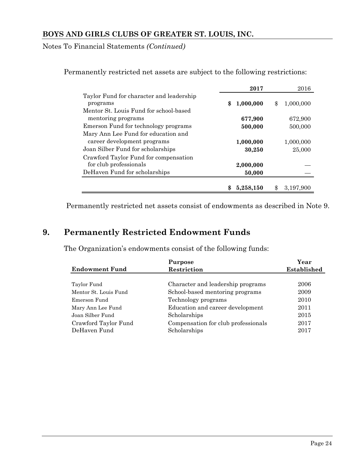Notes To Financial Statements *(Continued)*

|                                                      | 2017            | 2016            |
|------------------------------------------------------|-----------------|-----------------|
| Taylor Fund for character and leadership<br>programs | \$<br>1,000,000 | \$<br>1,000,000 |
| Mentor St. Louis Fund for school-based               |                 |                 |
| mentoring programs                                   | 677,900         | 672,900         |
| Emerson Fund for technology programs                 | 500,000         | 500,000         |
| Mary Ann Lee Fund for education and                  |                 |                 |
| career development programs                          | 1,000,000       | 1,000,000       |
| Joan Silber Fund for scholarships                    | 30,250          | 25,000          |
| Crawford Taylor Fund for compensation                |                 |                 |
| for club professionals                               | 2,000,000       |                 |
| DeHaven Fund for scholarships                        | 50,000          |                 |
|                                                      |                 |                 |
|                                                      | 5,258,150       | 3,197,900       |

Permanently restricted net assets are subject to the following restrictions:

Permanently restricted net assets consist of endowments as described in Note 9.

# **9. Permanently Restricted Endowment Funds**

The Organization's endowments consist of the following funds:

|                       | Purpose                             | Year        |
|-----------------------|-------------------------------------|-------------|
| <b>Endowment Fund</b> | Restriction                         | Established |
|                       |                                     |             |
| Taylor Fund           | Character and leadership programs   | 2006        |
| Mentor St. Louis Fund | School-based mentoring programs     | 2009        |
| Emerson Fund          | Technology programs                 | 2010        |
| Mary Ann Lee Fund     | Education and career development    | 2011        |
| Joan Silber Fund      | Scholarships                        | 2015        |
| Crawford Taylor Fund  | Compensation for club professionals | 2017        |
| DeHaven Fund          | Scholarships                        | 2017        |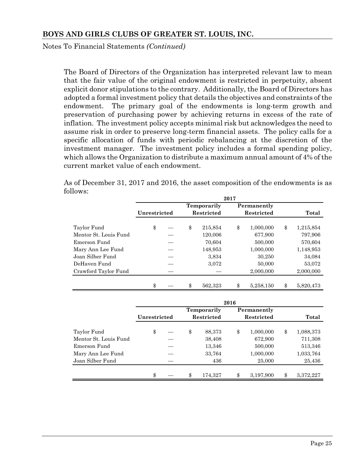Notes To Financial Statements *(Continued)*

The Board of Directors of the Organization has interpreted relevant law to mean that the fair value of the original endowment is restricted in perpetuity, absent explicit donor stipulations to the contrary. Additionally, the Board of Directors has adopted a formal investment policy that details the objectives and constraints of the endowment. The primary goal of the endowments is long-term growth and preservation of purchasing power by achieving returns in excess of the rate of inflation. The investment policy accepts minimal risk but acknowledges the need to assume risk in order to preserve long-term financial assets. The policy calls for a specific allocation of funds with periodic rebalancing at the discretion of the investment manager. The investment policy includes a formal spending policy, which allows the Organization to distribute a maximum annual amount of 4% of the current market value of each endowment.

As of December 31, 2017 and 2016, the asset composition of the endowments is as follows:

|                       |              |  |                                        | 2017 |             |                 |
|-----------------------|--------------|--|----------------------------------------|------|-------------|-----------------|
|                       |              |  | <b>Temporarily</b>                     |      | Permanently |                 |
|                       | Unrestricted |  | <b>Restricted</b><br><b>Restricted</b> |      |             | Total           |
| Taylor Fund           | \$           |  | \$<br>215,854                          | \$   | 1,000,000   | \$<br>1,215,854 |
| Mentor St. Louis Fund |              |  | 120,006                                |      | 677,900     | 797,906         |
| Emerson Fund          |              |  | 70,604                                 |      | 500,000     | 570,604         |
| Mary Ann Lee Fund     |              |  | 148,953                                |      | 1,000,000   | 1,148,953       |
| Joan Silber Fund      |              |  | 3,834                                  |      | 30,250      | 34,084          |
| DeHaven Fund          |              |  | 3,072                                  |      | 50,000      | 53,072          |
| Crawford Taylor Fund  |              |  |                                        |      | 2,000,000   | 2,000,000       |
|                       | \$           |  | \$<br>562.323                          | \$   | 5,258,150   | \$<br>5,820,473 |

|                       | 2016         |  |    |             |    |             |    |           |  |  |  |  |
|-----------------------|--------------|--|----|-------------|----|-------------|----|-----------|--|--|--|--|
|                       | Unrestricted |  |    | Temporarily |    | Permanently |    |           |  |  |  |  |
|                       |              |  |    | Restricted  |    | Restricted  |    | Total     |  |  |  |  |
|                       |              |  |    |             |    |             |    |           |  |  |  |  |
| Taylor Fund           | \$           |  | \$ | 88,373      | \$ | 1,000,000   | \$ | 1,088,373 |  |  |  |  |
| Mentor St. Louis Fund |              |  |    | 38,408      |    | 672,900     |    | 711,308   |  |  |  |  |
| Emerson Fund          |              |  |    | 13,346      |    | 500,000     |    | 513,346   |  |  |  |  |
| Mary Ann Lee Fund     |              |  |    | 33,764      |    | 1,000,000   |    | 1,033,764 |  |  |  |  |
| Joan Silber Fund      |              |  |    | 436         |    | 25,000      |    | 25,436    |  |  |  |  |
|                       |              |  |    |             |    |             |    |           |  |  |  |  |
|                       | \$           |  | \$ | 174,327     | \$ | 3,197,900   | \$ | 3,372,227 |  |  |  |  |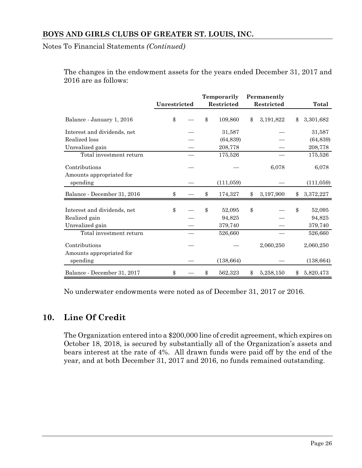Notes To Financial Statements *(Continued)*

The changes in the endowment assets for the years ended December 31, 2017 and 2016 are as follows:

|                                              | Unrestricted |  | Temporarily<br><b>Restricted</b> |                  | Permanently<br>Restricted |           |                        |
|----------------------------------------------|--------------|--|----------------------------------|------------------|---------------------------|-----------|------------------------|
|                                              |              |  |                                  |                  |                           |           | Total                  |
| Balance - January 1, 2016                    | \$           |  | \$                               | 109,860          | \$                        | 3,191,822 | \$<br>3,301,682        |
| Interest and dividends, net                  |              |  |                                  | 31,587           |                           |           | 31,587                 |
| Realized loss                                |              |  |                                  | (64, 839)        |                           |           | (64, 839)              |
| Unrealized gain                              |              |  |                                  | 208,778          |                           |           | 208,778                |
| Total investment return                      |              |  |                                  | 175,526          |                           |           | 175,526                |
| Contributions<br>Amounts appropriated for    |              |  |                                  |                  |                           | 6,078     | 6,078                  |
| spending                                     |              |  |                                  | (111,059)        |                           |           | (111,059)              |
| Balance - December 31, 2016                  | \$           |  | \$                               | 174,327          | \$                        | 3,197,900 | \$<br>3,372,227        |
| Interest and dividends, net<br>Realized gain | \$           |  | \$                               | 52,095<br>94,825 | \$                        |           | \$<br>52,095<br>94,825 |
| Unrealized gain                              |              |  |                                  | 379,740          |                           |           | 379,740                |
| Total investment return                      |              |  |                                  | 526,660          |                           |           | 526,660                |
| Contributions<br>Amounts appropriated for    |              |  |                                  |                  |                           | 2,060,250 | 2,060,250              |
| spending                                     |              |  |                                  | (138, 664)       |                           |           | (138, 664)             |
| Balance - December 31, 2017                  | \$           |  | \$                               | 562,323          | \$                        | 5,258,150 | \$<br>5,820,473        |

No underwater endowments were noted as of December 31, 2017 or 2016.

# **10. Line Of Credit**

The Organization entered into a \$200,000 line of credit agreement, which expires on October 18, 2018, is secured by substantially all of the Organization's assets and bears interest at the rate of 4%. All drawn funds were paid off by the end of the year, and at both December 31, 2017 and 2016, no funds remained outstanding.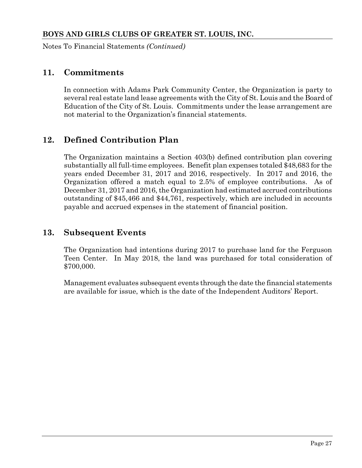Notes To Financial Statements *(Continued)*

# **11. Commitments**

In connection with Adams Park Community Center, the Organization is party to several real estate land lease agreements with the City of St. Louis and the Board of Education of the City of St. Louis. Commitments under the lease arrangement are not material to the Organization's financial statements.

# **12. Defined Contribution Plan**

The Organization maintains a Section 403(b) defined contribution plan covering substantially all full-time employees. Benefit plan expenses totaled \$48,683 for the years ended December 31, 2017 and 2016, respectively. In 2017 and 2016, the Organization offered a match equal to 2.5% of employee contributions. As of December 31, 2017 and 2016, the Organization had estimated accrued contributions outstanding of \$45,466 and \$44,761, respectively, which are included in accounts payable and accrued expenses in the statement of financial position.

# **13. Subsequent Events**

The Organization had intentions during 2017 to purchase land for the Ferguson Teen Center. In May 2018, the land was purchased for total consideration of \$700,000.

Management evaluates subsequent events through the date the financial statements are available for issue, which is the date of the Independent Auditors' Report.